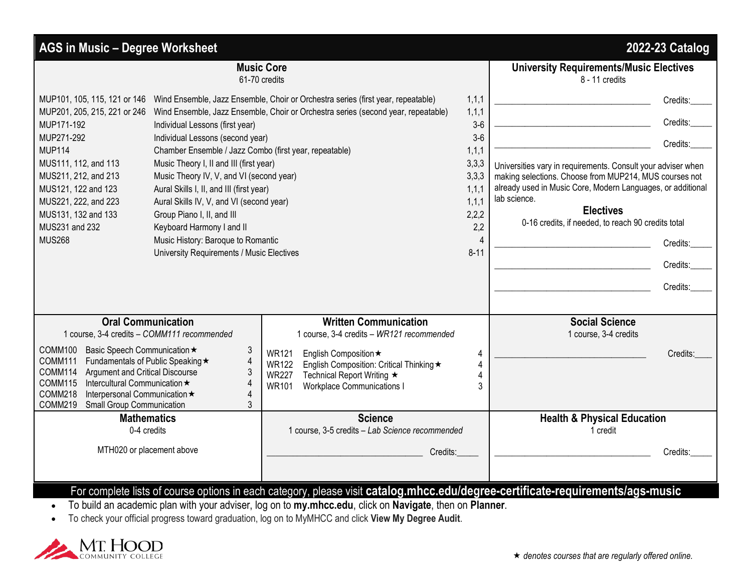| <b>AGS in Music - Degree Worksheet</b><br>2022-23 Catalog                                                                                                                                                                                                                                                                                                                                                     |                                                                                                                                                                                                                                                                                                                                                                                                                                                            |                                                                                                                                                                                                                                                                                   |                                                                                                                      |                                                                                                                                                                                                                                                                                                                                                         |  |  |
|---------------------------------------------------------------------------------------------------------------------------------------------------------------------------------------------------------------------------------------------------------------------------------------------------------------------------------------------------------------------------------------------------------------|------------------------------------------------------------------------------------------------------------------------------------------------------------------------------------------------------------------------------------------------------------------------------------------------------------------------------------------------------------------------------------------------------------------------------------------------------------|-----------------------------------------------------------------------------------------------------------------------------------------------------------------------------------------------------------------------------------------------------------------------------------|----------------------------------------------------------------------------------------------------------------------|---------------------------------------------------------------------------------------------------------------------------------------------------------------------------------------------------------------------------------------------------------------------------------------------------------------------------------------------------------|--|--|
| <b>Music Core</b><br>61-70 credits                                                                                                                                                                                                                                                                                                                                                                            |                                                                                                                                                                                                                                                                                                                                                                                                                                                            |                                                                                                                                                                                                                                                                                   |                                                                                                                      | <b>University Requirements/Music Electives</b><br>8 - 11 credits                                                                                                                                                                                                                                                                                        |  |  |
| MUP201, 205, 215, 221 or 246<br>MUP171-192<br>MUP271-292<br><b>MUP114</b><br>MUS111, 112, and 113<br>MUS211, 212, and 213<br>MUS121, 122 and 123<br>MUS221, 222, and 223<br>MUS131, 132 and 133<br>MUS231 and 232<br><b>MUS268</b>                                                                                                                                                                            | Individual Lessons (first year)<br>Individual Lessons (second year)<br>Chamber Ensemble / Jazz Combo (first year, repeatable)<br>Music Theory I, II and III (first year)<br>Music Theory IV, V, and VI (second year)<br>Aural Skills I, II, and III (first year)<br>Aural Skills IV, V, and VI (second year)<br>Group Piano I, II, and III<br>Keyboard Harmony I and II<br>Music History: Baroque to Romantic<br>University Requirements / Music Electives | MUP101, 105, 115, 121 or 146 Wind Ensemble, Jazz Ensemble, Choir or Orchestra series (first year, repeatable)<br>Wind Ensemble, Jazz Ensemble, Choir or Orchestra series (second year, repeatable)                                                                                | 1, 1, 1<br>1, 1, 1<br>$3-6$<br>$3-6$<br>1, 1, 1<br>3,3,3<br>3,3,3<br>1,1,1<br>1,1,1<br>2,2,2<br>2,2<br>Δ<br>$8 - 11$ | Credits:<br>Credits:<br>Credits:<br>Universities vary in requirements. Consult your adviser when<br>making selections. Choose from MUP214, MUS courses not<br>already used in Music Core, Modern Languages, or additional<br>lab science.<br><b>Electives</b><br>0-16 credits, if needed, to reach 90 credits total<br>Credits:<br>Credits:<br>Credits: |  |  |
| <b>Oral Communication</b><br>1 course, 3-4 credits - COMM111 recommended<br>COMM100<br>Basic Speech Communication ★<br>3<br>$\overline{4}$<br>Fundamentals of Public Speaking ★<br>COMM111<br>COMM114<br>Argument and Critical Discourse<br>3<br><b>COMM115</b><br>Intercultural Communication *<br>$\boldsymbol{\Delta}$<br>Interpersonal Communication *<br>COMM218<br>COMM219<br>Small Group Communication |                                                                                                                                                                                                                                                                                                                                                                                                                                                            | <b>Written Communication</b><br>1 course, 3-4 credits - WR121 recommended<br><b>WR121</b><br>English Composition ★<br><b>WR122</b><br>English Composition: Critical Thinking ★<br><b>WR227</b><br>Technical Report Writing ★<br><b>WR101</b><br><b>Workplace Communications I</b> | 4<br>4                                                                                                               | <b>Social Science</b><br>1 course, 3-4 credits<br>Credits:                                                                                                                                                                                                                                                                                              |  |  |
| <b>Mathematics</b><br>0-4 credits<br>MTH020 or placement above                                                                                                                                                                                                                                                                                                                                                |                                                                                                                                                                                                                                                                                                                                                                                                                                                            | <b>Science</b><br>1 course, 3-5 credits - Lab Science recommended<br>Credits:<br>For complete lists of course options in each category, please visit catalog.mhcc.edu/degree-certificate-requirements/ags-music                                                                   |                                                                                                                      | <b>Health &amp; Physical Education</b><br>1 credit<br>Credits:                                                                                                                                                                                                                                                                                          |  |  |

• To build an academic plan with your adviser, log on to **my.mhcc.edu**, click on **Navigate**, then on **Planner**.

• To check your official progress toward graduation, log on to MyMHCC and click **View My Degree Audit**.